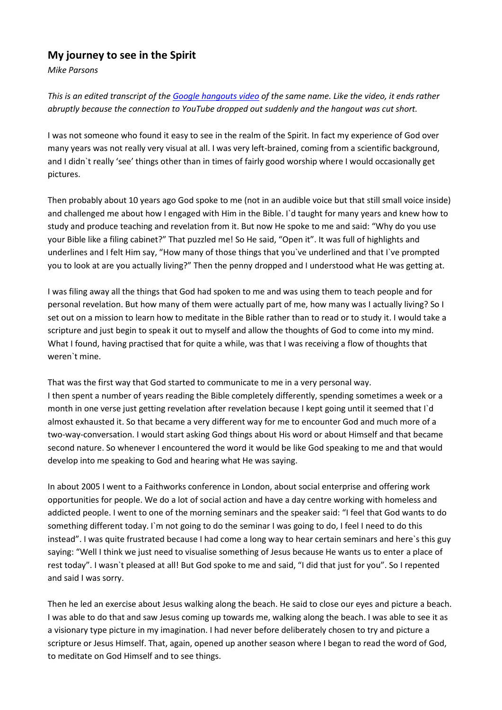## **My journey to see in the Spirit**

*Mike Parsons*

*This is an edited transcript of the [Google hangouts](https://youtu.be/tY-_NyZxlF8?t=7m52s) video of the same name. Like the video, it ends rather abruptly because the connection to YouTube dropped out suddenly and the hangout was cut short.*

I was not someone who found it easy to see in the realm of the Spirit. In fact my experience of God over many years was not really very visual at all. I was very left-brained, coming from a scientific background, and I didn`t really 'see' things other than in times of fairly good worship where I would occasionally get pictures.

Then probably about 10 years ago God spoke to me (not in an audible voice but that still small voice inside) and challenged me about how I engaged with Him in the Bible. I`d taught for many years and knew how to study and produce teaching and revelation from it. But now He spoke to me and said: "Why do you use your Bible like a filing cabinet?" That puzzled me! So He said, "Open it". It was full of highlights and underlines and I felt Him say, "How many of those things that you`ve underlined and that I`ve prompted you to look at are you actually living?" Then the penny dropped and I understood what He was getting at.

I was filing away all the things that God had spoken to me and was using them to teach people and for personal revelation. But how many of them were actually part of me, how many was I actually living? So I set out on a mission to learn how to meditate in the Bible rather than to read or to study it. I would take a scripture and just begin to speak it out to myself and allow the thoughts of God to come into my mind. What I found, having practised that for quite a while, was that I was receiving a flow of thoughts that weren`t mine.

That was the first way that God started to communicate to me in a very personal way. I then spent a number of years reading the Bible completely differently, spending sometimes a week or a month in one verse just getting revelation after revelation because I kept going until it seemed that I`d almost exhausted it. So that became a very different way for me to encounter God and much more of a two-way-conversation. I would start asking God things about His word or about Himself and that became second nature. So whenever I encountered the word it would be like God speaking to me and that would develop into me speaking to God and hearing what He was saying.

In about 2005 I went to a Faithworks conference in London, about social enterprise and offering work opportunities for people. We do a lot of social action and have a day centre working with homeless and addicted people. I went to one of the morning seminars and the speaker said: "I feel that God wants to do something different today. I'm not going to do the seminar I was going to do, I feel I need to do this instead". I was quite frustrated because I had come a long way to hear certain seminars and here`s this guy saying: "Well I think we just need to visualise something of Jesus because He wants us to enter a place of rest today". I wasn`t pleased at all! But God spoke to me and said, "I did that just for you". So I repented and said I was sorry.

Then he led an exercise about Jesus walking along the beach. He said to close our eyes and picture a beach. I was able to do that and saw Jesus coming up towards me, walking along the beach. I was able to see it as a visionary type picture in my imagination. I had never before deliberately chosen to try and picture a scripture or Jesus Himself. That, again, opened up another season where I began to read the word of God, to meditate on God Himself and to see things.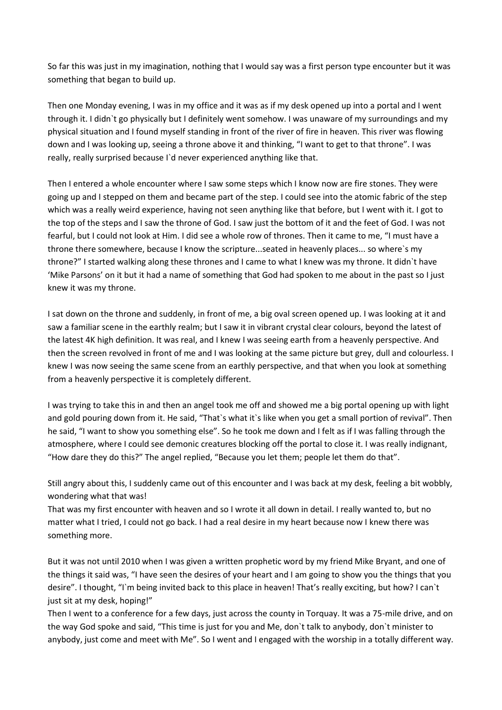So far this was just in my imagination, nothing that I would say was a first person type encounter but it was something that began to build up.

Then one Monday evening, I was in my office and it was as if my desk opened up into a portal and I went through it. I didn`t go physically but I definitely went somehow. I was unaware of my surroundings and my physical situation and I found myself standing in front of the river of fire in heaven. This river was flowing down and I was looking up, seeing a throne above it and thinking, "I want to get to that throne". I was really, really surprised because I`d never experienced anything like that.

Then I entered a whole encounter where I saw some steps which I know now are fire stones. They were going up and I stepped on them and became part of the step. I could see into the atomic fabric of the step which was a really weird experience, having not seen anything like that before, but I went with it. I got to the top of the steps and I saw the throne of God. I saw just the bottom of it and the feet of God. I was not fearful, but I could not look at Him. I did see a whole row of thrones. Then it came to me, "I must have a throne there somewhere, because I know the scripture...seated in heavenly places... so where`s my throne?" I started walking along these thrones and I came to what I knew was my throne. It didn`t have 'Mike Parsons' on it but it had a name of something that God had spoken to me about in the past so I just knew it was my throne.

I sat down on the throne and suddenly, in front of me, a big oval screen opened up. I was looking at it and saw a familiar scene in the earthly realm; but I saw it in vibrant crystal clear colours, beyond the latest of the latest 4K high definition. It was real, and I knew I was seeing earth from a heavenly perspective. And then the screen revolved in front of me and I was looking at the same picture but grey, dull and colourless. I knew I was now seeing the same scene from an earthly perspective, and that when you look at something from a heavenly perspective it is completely different.

I was trying to take this in and then an angel took me off and showed me a big portal opening up with light and gold pouring down from it. He said, "That`s what it`s like when you get a small portion of revival". Then he said, "I want to show you something else". So he took me down and I felt as if I was falling through the atmosphere, where I could see demonic creatures blocking off the portal to close it. I was really indignant, "How dare they do this?" The angel replied, "Because you let them; people let them do that".

Still angry about this, I suddenly came out of this encounter and I was back at my desk, feeling a bit wobbly, wondering what that was!

That was my first encounter with heaven and so I wrote it all down in detail. I really wanted to, but no matter what I tried, I could not go back. I had a real desire in my heart because now I knew there was something more.

But it was not until 2010 when I was given a written prophetic word by my friend Mike Bryant, and one of the things it said was, "I have seen the desires of your heart and I am going to show you the things that you desire". I thought, "I`m being invited back to this place in heaven! That's really exciting, but how? I can`t just sit at my desk, hoping!"

Then I went to a conference for a few days, just across the county in Torquay. It was a 75-mile drive, and on the way God spoke and said, "This time is just for you and Me, don`t talk to anybody, don`t minister to anybody, just come and meet with Me". So I went and I engaged with the worship in a totally different way.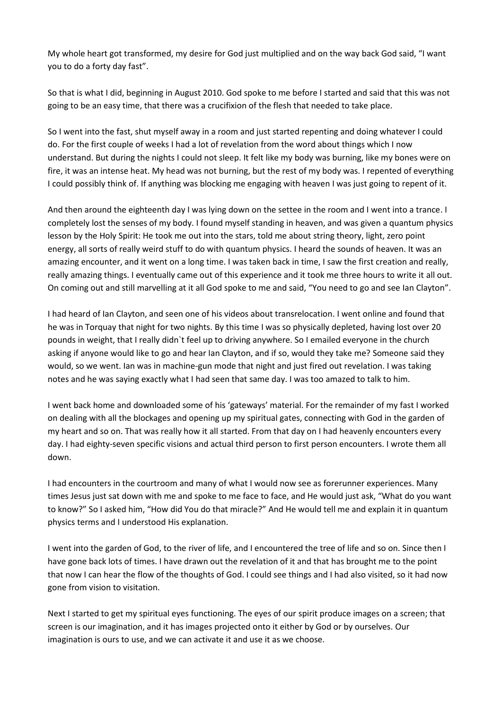My whole heart got transformed, my desire for God just multiplied and on the way back God said, "I want you to do a forty day fast".

So that is what I did, beginning in August 2010. God spoke to me before I started and said that this was not going to be an easy time, that there was a crucifixion of the flesh that needed to take place.

So I went into the fast, shut myself away in a room and just started repenting and doing whatever I could do. For the first couple of weeks I had a lot of revelation from the word about things which I now understand. But during the nights I could not sleep. It felt like my body was burning, like my bones were on fire, it was an intense heat. My head was not burning, but the rest of my body was. I repented of everything I could possibly think of. If anything was blocking me engaging with heaven I was just going to repent of it.

And then around the eighteenth day I was lying down on the settee in the room and I went into a trance. I completely lost the senses of my body. I found myself standing in heaven, and was given a quantum physics lesson by the Holy Spirit: He took me out into the stars, told me about string theory, light, zero point energy, all sorts of really weird stuff to do with quantum physics. I heard the sounds of heaven. It was an amazing encounter, and it went on a long time. I was taken back in time, I saw the first creation and really, really amazing things. I eventually came out of this experience and it took me three hours to write it all out. On coming out and still marvelling at it all God spoke to me and said, "You need to go and see Ian Clayton".

I had heard of Ian Clayton, and seen one of his videos about transrelocation. I went online and found that he was in Torquay that night for two nights. By this time I was so physically depleted, having lost over 20 pounds in weight, that I really didn`t feel up to driving anywhere. So I emailed everyone in the church asking if anyone would like to go and hear Ian Clayton, and if so, would they take me? Someone said they would, so we went. Ian was in machine-gun mode that night and just fired out revelation. I was taking notes and he was saying exactly what I had seen that same day. I was too amazed to talk to him.

I went back home and downloaded some of his 'gateways' material. For the remainder of my fast I worked on dealing with all the blockages and opening up my spiritual gates, connecting with God in the garden of my heart and so on. That was really how it all started. From that day on I had heavenly encounters every day. I had eighty-seven specific visions and actual third person to first person encounters. I wrote them all down.

I had encounters in the courtroom and many of what I would now see as forerunner experiences. Many times Jesus just sat down with me and spoke to me face to face, and He would just ask, "What do you want to know?" So I asked him, "How did You do that miracle?" And He would tell me and explain it in quantum physics terms and I understood His explanation.

I went into the garden of God, to the river of life, and I encountered the tree of life and so on. Since then I have gone back lots of times. I have drawn out the revelation of it and that has brought me to the point that now I can hear the flow of the thoughts of God. I could see things and I had also visited, so it had now gone from vision to visitation.

Next I started to get my spiritual eyes functioning. The eyes of our spirit produce images on a screen; that screen is our imagination, and it has images projected onto it either by God or by ourselves. Our imagination is ours to use, and we can activate it and use it as we choose.